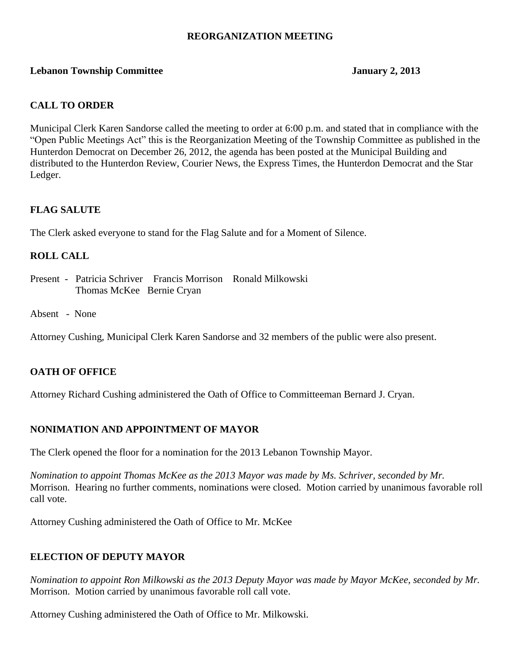# **REORGANIZATION MEETING**

## **Lebanon Township Committee 3.2013** January 2, 2013

# **CALL TO ORDER**

Municipal Clerk Karen Sandorse called the meeting to order at 6:00 p.m. and stated that in compliance with the "Open Public Meetings Act" this is the Reorganization Meeting of the Township Committee as published in the Hunterdon Democrat on December 26, 2012, the agenda has been posted at the Municipal Building and distributed to the Hunterdon Review, Courier News, the Express Times, the Hunterdon Democrat and the Star Ledger.

# **FLAG SALUTE**

The Clerk asked everyone to stand for the Flag Salute and for a Moment of Silence.

# **ROLL CALL**

- Present Patricia Schriver Francis Morrison Ronald Milkowski Thomas McKee Bernie Cryan
- Absent None

Attorney Cushing, Municipal Clerk Karen Sandorse and 32 members of the public were also present.

## **OATH OF OFFICE**

Attorney Richard Cushing administered the Oath of Office to Committeeman Bernard J. Cryan.

## **NONIMATION AND APPOINTMENT OF MAYOR**

The Clerk opened the floor for a nomination for the 2013 Lebanon Township Mayor.

*Nomination to appoint Thomas McKee as the 2013 Mayor was made by Ms. Schriver, seconded by Mr.* Morrison*.* Hearing no further comments, nominations were closed. Motion carried by unanimous favorable roll call vote.

Attorney Cushing administered the Oath of Office to Mr. McKee

## **ELECTION OF DEPUTY MAYOR**

*Nomination to appoint Ron Milkowski as the 2013 Deputy Mayor was made by Mayor McKee, seconded by Mr.* Morrison. Motion carried by unanimous favorable roll call vote.

Attorney Cushing administered the Oath of Office to Mr. Milkowski.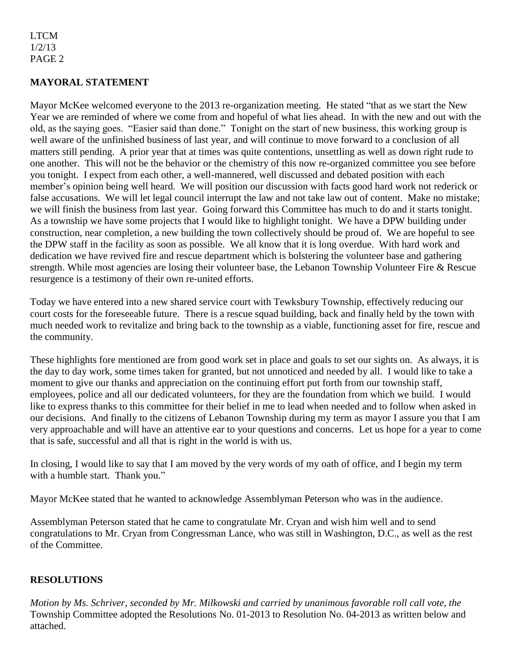# **MAYORAL STATEMENT**

Mayor McKee welcomed everyone to the 2013 re-organization meeting. He stated "that as we start the New Year we are reminded of where we come from and hopeful of what lies ahead. In with the new and out with the old, as the saying goes. "Easier said than done." Tonight on the start of new business, this working group is well aware of the unfinished business of last year, and will continue to move forward to a conclusion of all matters still pending. A prior year that at times was quite contentions, unsettling as well as down right rude to one another. This will not be the behavior or the chemistry of this now re-organized committee you see before you tonight. I expect from each other, a well-mannered, well discussed and debated position with each member's opinion being well heard. We will position our discussion with facts good hard work not rederick or false accusations. We will let legal council interrupt the law and not take law out of content. Make no mistake; we will finish the business from last year. Going forward this Committee has much to do and it starts tonight. As a township we have some projects that I would like to highlight tonight. We have a DPW building under construction, near completion, a new building the town collectively should be proud of. We are hopeful to see the DPW staff in the facility as soon as possible. We all know that it is long overdue. With hard work and dedication we have revived fire and rescue department which is bolstering the volunteer base and gathering strength. While most agencies are losing their volunteer base, the Lebanon Township Volunteer Fire & Rescue resurgence is a testimony of their own re-united efforts.

Today we have entered into a new shared service court with Tewksbury Township, effectively reducing our court costs for the foreseeable future. There is a rescue squad building, back and finally held by the town with much needed work to revitalize and bring back to the township as a viable, functioning asset for fire, rescue and the community.

These highlights fore mentioned are from good work set in place and goals to set our sights on. As always, it is the day to day work, some times taken for granted, but not unnoticed and needed by all. I would like to take a moment to give our thanks and appreciation on the continuing effort put forth from our township staff, employees, police and all our dedicated volunteers, for they are the foundation from which we build. I would like to express thanks to this committee for their belief in me to lead when needed and to follow when asked in our decisions. And finally to the citizens of Lebanon Township during my term as mayor I assure you that I am very approachable and will have an attentive ear to your questions and concerns. Let us hope for a year to come that is safe, successful and all that is right in the world is with us.

In closing, I would like to say that I am moved by the very words of my oath of office, and I begin my term with a humble start. Thank you."

Mayor McKee stated that he wanted to acknowledge Assemblyman Peterson who was in the audience.

Assemblyman Peterson stated that he came to congratulate Mr. Cryan and wish him well and to send congratulations to Mr. Cryan from Congressman Lance, who was still in Washington, D.C., as well as the rest of the Committee.

## **RESOLUTIONS**

*Motion by Ms. Schriver, seconded by Mr. Milkowski and carried by unanimous favorable roll call vote, the* Township Committee adopted the Resolutions No. 01-2013 to Resolution No. 04-2013 as written below and attached.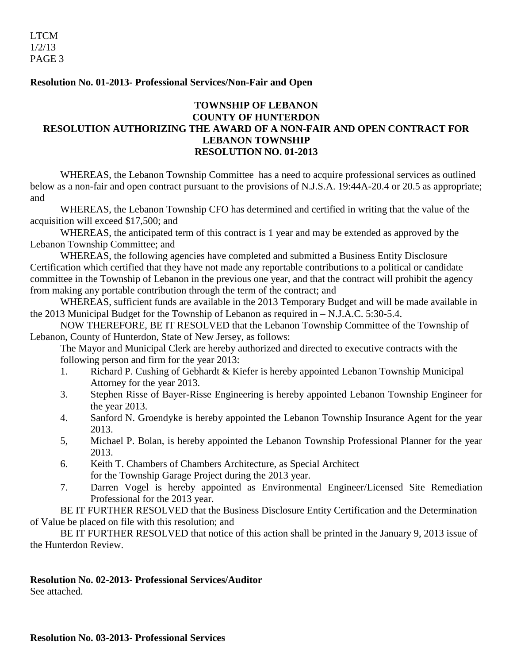## **Resolution No. 01-2013- Professional Services/Non-Fair and Open**

# **TOWNSHIP OF LEBANON COUNTY OF HUNTERDON RESOLUTION AUTHORIZING THE AWARD OF A NON-FAIR AND OPEN CONTRACT FOR LEBANON TOWNSHIP RESOLUTION NO. 01-2013**

WHEREAS, the Lebanon Township Committee has a need to acquire professional services as outlined below as a non-fair and open contract pursuant to the provisions of N.J.S.A. 19:44A-20.4 or 20.5 as appropriate; and

WHEREAS, the Lebanon Township CFO has determined and certified in writing that the value of the acquisition will exceed \$17,500; and

WHEREAS, the anticipated term of this contract is 1 year and may be extended as approved by the Lebanon Township Committee; and

WHEREAS, the following agencies have completed and submitted a Business Entity Disclosure Certification which certified that they have not made any reportable contributions to a political or candidate committee in the Township of Lebanon in the previous one year, and that the contract will prohibit the agency from making any portable contribution through the term of the contract; and

WHEREAS, sufficient funds are available in the 2013 Temporary Budget and will be made available in the 2013 Municipal Budget for the Township of Lebanon as required in – N.J.A.C. 5:30-5.4.

NOW THEREFORE, BE IT RESOLVED that the Lebanon Township Committee of the Township of Lebanon, County of Hunterdon, State of New Jersey, as follows:

The Mayor and Municipal Clerk are hereby authorized and directed to executive contracts with the following person and firm for the year 2013:

- 1. Richard P. Cushing of Gebhardt & Kiefer is hereby appointed Lebanon Township Municipal Attorney for the year 2013.
- 3. Stephen Risse of Bayer-Risse Engineering is hereby appointed Lebanon Township Engineer for the year 2013.
- 4. Sanford N. Groendyke is hereby appointed the Lebanon Township Insurance Agent for the year 2013.
- 5, Michael P. Bolan, is hereby appointed the Lebanon Township Professional Planner for the year 2013.
- 6. Keith T. Chambers of Chambers Architecture, as Special Architect for the Township Garage Project during the 2013 year.
- 7. Darren Vogel is hereby appointed as Environmental Engineer/Licensed Site Remediation Professional for the 2013 year.

BE IT FURTHER RESOLVED that the Business Disclosure Entity Certification and the Determination of Value be placed on file with this resolution; and

BE IT FURTHER RESOLVED that notice of this action shall be printed in the January 9, 2013 issue of the Hunterdon Review.

# **Resolution No. 02-2013- Professional Services/Auditor**

See attached.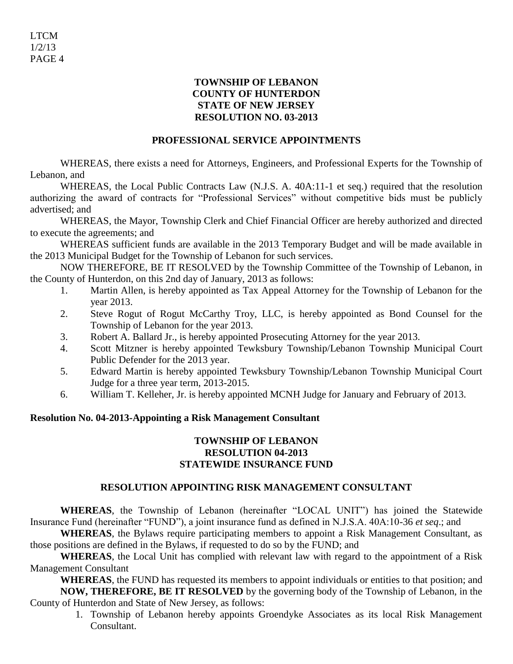# **TOWNSHIP OF LEBANON COUNTY OF HUNTERDON STATE OF NEW JERSEY RESOLUTION NO. 03-2013**

# **PROFESSIONAL SERVICE APPOINTMENTS**

WHEREAS, there exists a need for Attorneys, Engineers, and Professional Experts for the Township of Lebanon, and

WHEREAS, the Local Public Contracts Law (N.J.S. A. 40A:11-1 et seq.) required that the resolution authorizing the award of contracts for "Professional Services" without competitive bids must be publicly advertised; and

WHEREAS, the Mayor, Township Clerk and Chief Financial Officer are hereby authorized and directed to execute the agreements; and

WHEREAS sufficient funds are available in the 2013 Temporary Budget and will be made available in the 2013 Municipal Budget for the Township of Lebanon for such services.

NOW THEREFORE, BE IT RESOLVED by the Township Committee of the Township of Lebanon, in the County of Hunterdon, on this 2nd day of January, 2013 as follows:

- 1. Martin Allen, is hereby appointed as Tax Appeal Attorney for the Township of Lebanon for the year 2013.
- 2. Steve Rogut of Rogut McCarthy Troy, LLC, is hereby appointed as Bond Counsel for the Township of Lebanon for the year 2013.
- 3. Robert A. Ballard Jr., is hereby appointed Prosecuting Attorney for the year 2013.
- 4. Scott Mitzner is hereby appointed Tewksbury Township/Lebanon Township Municipal Court Public Defender for the 2013 year.
- 5. Edward Martin is hereby appointed Tewksbury Township/Lebanon Township Municipal Court Judge for a three year term, 2013-2015.
- 6. William T. Kelleher, Jr. is hereby appointed MCNH Judge for January and February of 2013.

# **Resolution No. 04-2013-Appointing a Risk Management Consultant**

# **TOWNSHIP OF LEBANON RESOLUTION 04-2013 STATEWIDE INSURANCE FUND**

# **RESOLUTION APPOINTING RISK MANAGEMENT CONSULTANT**

**WHEREAS**, the Township of Lebanon (hereinafter "LOCAL UNIT") has joined the Statewide Insurance Fund (hereinafter "FUND"), a joint insurance fund as defined in N.J.S.A. 40A:10-36 *et seq*.; and

**WHEREAS**, the Bylaws require participating members to appoint a Risk Management Consultant, as those positions are defined in the Bylaws, if requested to do so by the FUND; and

**WHEREAS**, the Local Unit has complied with relevant law with regard to the appointment of a Risk Management Consultant

**WHEREAS**, the FUND has requested its members to appoint individuals or entities to that position; and **NOW, THEREFORE, BE IT RESOLVED** by the governing body of the Township of Lebanon, in the County of Hunterdon and State of New Jersey, as follows:

> 1. Township of Lebanon hereby appoints Groendyke Associates as its local Risk Management Consultant.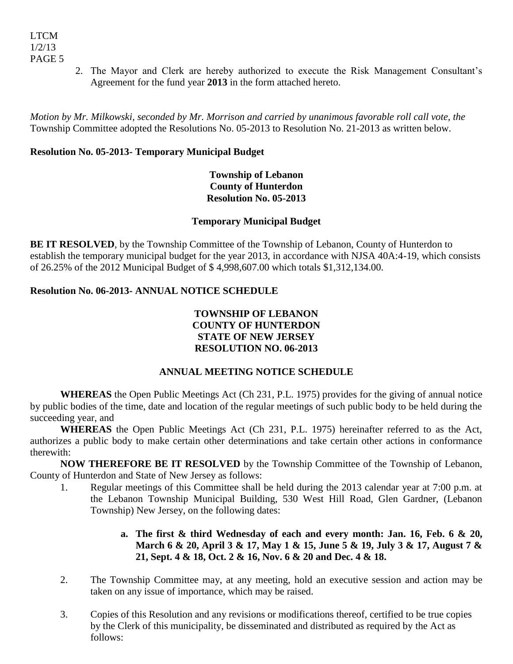2. The Mayor and Clerk are hereby authorized to execute the Risk Management Consultant's Agreement for the fund year **2013** in the form attached hereto.

*Motion by Mr. Milkowski, seconded by Mr. Morrison and carried by unanimous favorable roll call vote, the* Township Committee adopted the Resolutions No. 05-2013 to Resolution No. 21-2013 as written below.

# **Resolution No. 05-2013- Temporary Municipal Budget**

# **Township of Lebanon County of Hunterdon Resolution No. 05-2013**

# **Temporary Municipal Budget**

**BE IT RESOLVED**, by the Township Committee of the Township of Lebanon, County of Hunterdon to establish the temporary municipal budget for the year 2013, in accordance with NJSA 40A:4-19, which consists of 26.25% of the 2012 Municipal Budget of \$ 4,998,607.00 which totals \$1,312,134.00.

# **Resolution No. 06-2013- ANNUAL NOTICE SCHEDULE**

# **TOWNSHIP OF LEBANON COUNTY OF HUNTERDON STATE OF NEW JERSEY RESOLUTION NO. 06-2013**

# **ANNUAL MEETING NOTICE SCHEDULE**

**WHEREAS** the Open Public Meetings Act (Ch 231, P.L. 1975) provides for the giving of annual notice by public bodies of the time, date and location of the regular meetings of such public body to be held during the succeeding year, and

**WHEREAS** the Open Public Meetings Act (Ch 231, P.L. 1975) hereinafter referred to as the Act, authorizes a public body to make certain other determinations and take certain other actions in conformance therewith:

**NOW THEREFORE BE IT RESOLVED** by the Township Committee of the Township of Lebanon, County of Hunterdon and State of New Jersey as follows:

1. Regular meetings of this Committee shall be held during the 2013 calendar year at 7:00 p.m. at the Lebanon Township Municipal Building, 530 West Hill Road, Glen Gardner, (Lebanon Township) New Jersey, on the following dates:

# **a. The first & third Wednesday of each and every month: Jan. 16, Feb. 6 & 20, March 6 & 20, April 3 & 17, May 1 & 15, June 5 & 19, July 3 & 17, August 7 & 21, Sept. 4 & 18, Oct. 2 & 16, Nov. 6 & 20 and Dec. 4 & 18.**

- 2. The Township Committee may, at any meeting, hold an executive session and action may be taken on any issue of importance, which may be raised.
- 3. Copies of this Resolution and any revisions or modifications thereof, certified to be true copies by the Clerk of this municipality, be disseminated and distributed as required by the Act as follows: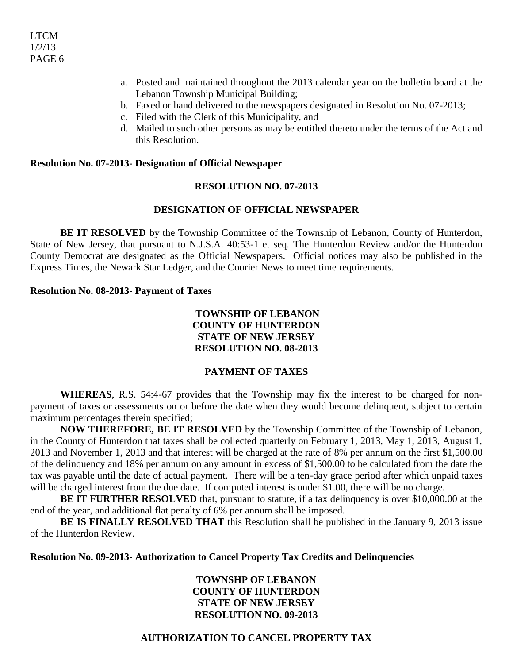- a. Posted and maintained throughout the 2013 calendar year on the bulletin board at the Lebanon Township Municipal Building;
- b. Faxed or hand delivered to the newspapers designated in Resolution No. 07-2013;
- c. Filed with the Clerk of this Municipality, and
- d. Mailed to such other persons as may be entitled thereto under the terms of the Act and this Resolution.

### **Resolution No. 07-2013- Designation of Official Newspaper**

### **RESOLUTION NO. 07-2013**

### **DESIGNATION OF OFFICIAL NEWSPAPER**

**BE IT RESOLVED** by the Township Committee of the Township of Lebanon, County of Hunterdon, State of New Jersey, that pursuant to N.J.S.A. 40:53-1 et seq. The Hunterdon Review and/or the Hunterdon County Democrat are designated as the Official Newspapers. Official notices may also be published in the Express Times, the Newark Star Ledger, and the Courier News to meet time requirements.

#### **Resolution No. 08-2013- Payment of Taxes**

# **TOWNSHIP OF LEBANON COUNTY OF HUNTERDON STATE OF NEW JERSEY RESOLUTION NO. 08-2013**

#### **PAYMENT OF TAXES**

**WHEREAS**, R.S. 54:4-67 provides that the Township may fix the interest to be charged for nonpayment of taxes or assessments on or before the date when they would become delinquent, subject to certain maximum percentages therein specified;

**NOW THEREFORE, BE IT RESOLVED** by the Township Committee of the Township of Lebanon, in the County of Hunterdon that taxes shall be collected quarterly on February 1, 2013, May 1, 2013, August 1, 2013 and November 1, 2013 and that interest will be charged at the rate of 8% per annum on the first \$1,500.00 of the delinquency and 18% per annum on any amount in excess of \$1,500.00 to be calculated from the date the tax was payable until the date of actual payment. There will be a ten-day grace period after which unpaid taxes will be charged interest from the due date. If computed interest is under \$1.00, there will be no charge.

**BE IT FURTHER RESOLVED** that, pursuant to statute, if a tax delinquency is over \$10,000.00 at the end of the year, and additional flat penalty of 6% per annum shall be imposed.

**BE IS FINALLY RESOLVED THAT** this Resolution shall be published in the January 9, 2013 issue of the Hunterdon Review.

#### **Resolution No. 09-2013- Authorization to Cancel Property Tax Credits and Delinquencies**

## **TOWNSHP OF LEBANON COUNTY OF HUNTERDON STATE OF NEW JERSEY RESOLUTION NO. 09-2013**

## **AUTHORIZATION TO CANCEL PROPERTY TAX**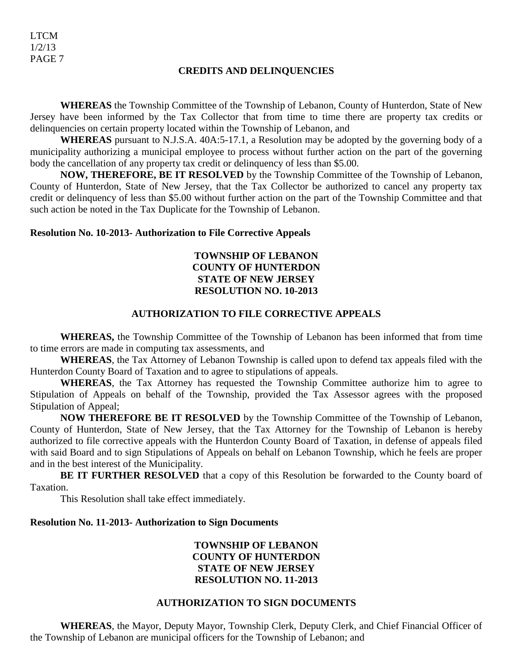#### **CREDITS AND DELINQUENCIES**

**WHEREAS** the Township Committee of the Township of Lebanon, County of Hunterdon, State of New Jersey have been informed by the Tax Collector that from time to time there are property tax credits or delinquencies on certain property located within the Township of Lebanon, and

**WHEREAS** pursuant to N.J.S.A. 40A:5-17.1, a Resolution may be adopted by the governing body of a municipality authorizing a municipal employee to process without further action on the part of the governing body the cancellation of any property tax credit or delinquency of less than \$5.00.

**NOW, THEREFORE, BE IT RESOLVED** by the Township Committee of the Township of Lebanon, County of Hunterdon, State of New Jersey, that the Tax Collector be authorized to cancel any property tax credit or delinquency of less than \$5.00 without further action on the part of the Township Committee and that such action be noted in the Tax Duplicate for the Township of Lebanon.

### **Resolution No. 10-2013- Authorization to File Corrective Appeals**

# **TOWNSHIP OF LEBANON COUNTY OF HUNTERDON STATE OF NEW JERSEY RESOLUTION NO. 10-2013**

## **AUTHORIZATION TO FILE CORRECTIVE APPEALS**

**WHEREAS,** the Township Committee of the Township of Lebanon has been informed that from time to time errors are made in computing tax assessments, and

**WHEREAS**, the Tax Attorney of Lebanon Township is called upon to defend tax appeals filed with the Hunterdon County Board of Taxation and to agree to stipulations of appeals.

**WHEREAS**, the Tax Attorney has requested the Township Committee authorize him to agree to Stipulation of Appeals on behalf of the Township, provided the Tax Assessor agrees with the proposed Stipulation of Appeal;

**NOW THEREFORE BE IT RESOLVED** by the Township Committee of the Township of Lebanon, County of Hunterdon, State of New Jersey, that the Tax Attorney for the Township of Lebanon is hereby authorized to file corrective appeals with the Hunterdon County Board of Taxation, in defense of appeals filed with said Board and to sign Stipulations of Appeals on behalf on Lebanon Township, which he feels are proper and in the best interest of the Municipality.

**BE IT FURTHER RESOLVED** that a copy of this Resolution be forwarded to the County board of Taxation.

This Resolution shall take effect immediately.

#### **Resolution No. 11-2013- Authorization to Sign Documents**

# **TOWNSHIP OF LEBANON COUNTY OF HUNTERDON STATE OF NEW JERSEY RESOLUTION NO. 11-2013**

#### **AUTHORIZATION TO SIGN DOCUMENTS**

**WHEREAS**, the Mayor, Deputy Mayor, Township Clerk, Deputy Clerk, and Chief Financial Officer of the Township of Lebanon are municipal officers for the Township of Lebanon; and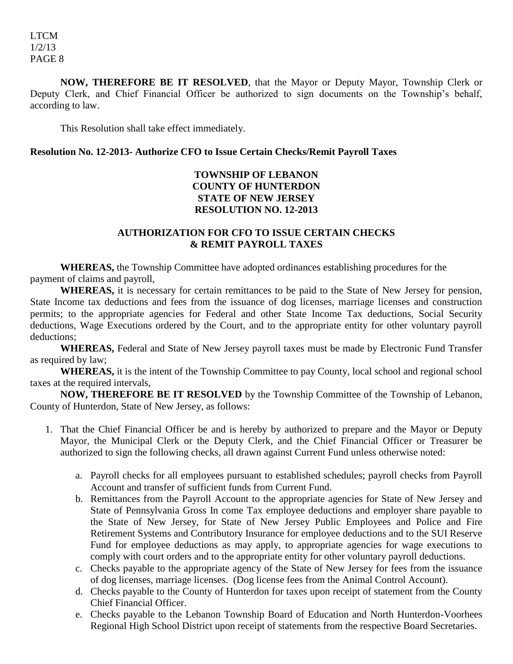**NOW, THEREFORE BE IT RESOLVED**, that the Mayor or Deputy Mayor, Township Clerk or Deputy Clerk, and Chief Financial Officer be authorized to sign documents on the Township's behalf, according to law.

This Resolution shall take effect immediately.

# **Resolution No. 12-2013- Authorize CFO to Issue Certain Checks/Remit Payroll Taxes**

# **TOWNSHIP OF LEBANON COUNTY OF HUNTERDON STATE OF NEW JERSEY RESOLUTION NO. 12-2013**

# **AUTHORIZATION FOR CFO TO ISSUE CERTAIN CHECKS & REMIT PAYROLL TAXES**

**WHEREAS,** the Township Committee have adopted ordinances establishing procedures for the payment of claims and payroll,

**WHEREAS,** it is necessary for certain remittances to be paid to the State of New Jersey for pension, State Income tax deductions and fees from the issuance of dog licenses, marriage licenses and construction permits; to the appropriate agencies for Federal and other State Income Tax deductions, Social Security deductions, Wage Executions ordered by the Court, and to the appropriate entity for other voluntary payroll deductions;

**WHEREAS,** Federal and State of New Jersey payroll taxes must be made by Electronic Fund Transfer as required by law;

**WHEREAS,** it is the intent of the Township Committee to pay County, local school and regional school taxes at the required intervals,

**NOW, THEREFORE BE IT RESOLVED** by the Township Committee of the Township of Lebanon, County of Hunterdon, State of New Jersey, as follows:

- 1. That the Chief Financial Officer be and is hereby by authorized to prepare and the Mayor or Deputy Mayor, the Municipal Clerk or the Deputy Clerk, and the Chief Financial Officer or Treasurer be authorized to sign the following checks, all drawn against Current Fund unless otherwise noted:
	- a. Payroll checks for all employees pursuant to established schedules; payroll checks from Payroll Account and transfer of sufficient funds from Current Fund.
	- b. Remittances from the Payroll Account to the appropriate agencies for State of New Jersey and State of Pennsylvania Gross In come Tax employee deductions and employer share payable to the State of New Jersey, for State of New Jersey Public Employees and Police and Fire Retirement Systems and Contributory Insurance for employee deductions and to the SUI Reserve Fund for employee deductions as may apply, to appropriate agencies for wage executions to comply with court orders and to the appropriate entity for other voluntary payroll deductions.
	- c. Checks payable to the appropriate agency of the State of New Jersey for fees from the issuance of dog licenses, marriage licenses. (Dog license fees from the Animal Control Account).
	- d. Checks payable to the County of Hunterdon for taxes upon receipt of statement from the County Chief Financial Officer.
	- e. Checks payable to the Lebanon Township Board of Education and North Hunterdon-Voorhees Regional High School District upon receipt of statements from the respective Board Secretaries.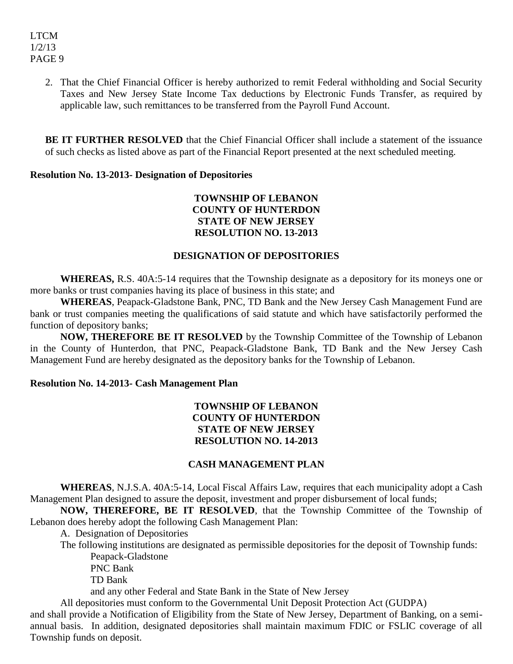2. That the Chief Financial Officer is hereby authorized to remit Federal withholding and Social Security Taxes and New Jersey State Income Tax deductions by Electronic Funds Transfer, as required by applicable law, such remittances to be transferred from the Payroll Fund Account.

**BE IT FURTHER RESOLVED** that the Chief Financial Officer shall include a statement of the issuance of such checks as listed above as part of the Financial Report presented at the next scheduled meeting.

## **Resolution No. 13-2013- Designation of Depositories**

# **TOWNSHIP OF LEBANON COUNTY OF HUNTERDON STATE OF NEW JERSEY RESOLUTION NO. 13-2013**

## **DESIGNATION OF DEPOSITORIES**

**WHEREAS,** R.S. 40A:5-14 requires that the Township designate as a depository for its moneys one or more banks or trust companies having its place of business in this state; and

**WHEREAS**, Peapack-Gladstone Bank, PNC, TD Bank and the New Jersey Cash Management Fund are bank or trust companies meeting the qualifications of said statute and which have satisfactorily performed the function of depository banks;

**NOW, THEREFORE BE IT RESOLVED** by the Township Committee of the Township of Lebanon in the County of Hunterdon, that PNC, Peapack-Gladstone Bank, TD Bank and the New Jersey Cash Management Fund are hereby designated as the depository banks for the Township of Lebanon.

## **Resolution No. 14-2013- Cash Management Plan**

## **TOWNSHIP OF LEBANON COUNTY OF HUNTERDON STATE OF NEW JERSEY RESOLUTION NO. 14-2013**

## **CASH MANAGEMENT PLAN**

**WHEREAS**, N.J.S.A. 40A:5-14, Local Fiscal Affairs Law, requires that each municipality adopt a Cash Management Plan designed to assure the deposit, investment and proper disbursement of local funds;

**NOW, THEREFORE, BE IT RESOLVED**, that the Township Committee of the Township of Lebanon does hereby adopt the following Cash Management Plan:

A. Designation of Depositories

The following institutions are designated as permissible depositories for the deposit of Township funds: Peapack-Gladstone

PNC Bank

TD Bank

and any other Federal and State Bank in the State of New Jersey

All depositories must conform to the Governmental Unit Deposit Protection Act (GUDPA)

and shall provide a Notification of Eligibility from the State of New Jersey, Department of Banking, on a semiannual basis. In addition, designated depositories shall maintain maximum FDIC or FSLIC coverage of all Township funds on deposit.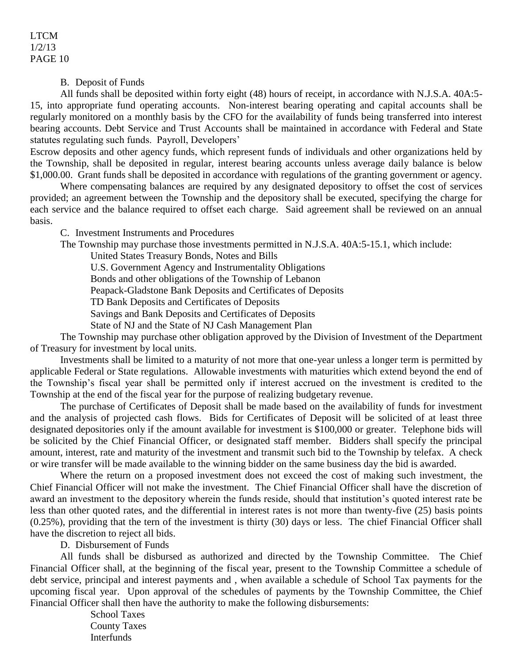B. Deposit of Funds

All funds shall be deposited within forty eight (48) hours of receipt, in accordance with N.J.S.A. 40A:5- 15, into appropriate fund operating accounts. Non-interest bearing operating and capital accounts shall be regularly monitored on a monthly basis by the CFO for the availability of funds being transferred into interest bearing accounts. Debt Service and Trust Accounts shall be maintained in accordance with Federal and State statutes regulating such funds. Payroll, Developers'

Escrow deposits and other agency funds, which represent funds of individuals and other organizations held by the Township, shall be deposited in regular, interest bearing accounts unless average daily balance is below \$1,000.00. Grant funds shall be deposited in accordance with regulations of the granting government or agency.

Where compensating balances are required by any designated depository to offset the cost of services provided; an agreement between the Township and the depository shall be executed, specifying the charge for each service and the balance required to offset each charge. Said agreement shall be reviewed on an annual basis.

C. Investment Instruments and Procedures

The Township may purchase those investments permitted in N.J.S.A. 40A:5-15.1, which include:

United States Treasury Bonds, Notes and Bills

U.S. Government Agency and Instrumentality Obligations

Bonds and other obligations of the Township of Lebanon

Peapack-Gladstone Bank Deposits and Certificates of Deposits

TD Bank Deposits and Certificates of Deposits

Savings and Bank Deposits and Certificates of Deposits

State of NJ and the State of NJ Cash Management Plan

The Township may purchase other obligation approved by the Division of Investment of the Department of Treasury for investment by local units.

Investments shall be limited to a maturity of not more that one-year unless a longer term is permitted by applicable Federal or State regulations. Allowable investments with maturities which extend beyond the end of the Township's fiscal year shall be permitted only if interest accrued on the investment is credited to the Township at the end of the fiscal year for the purpose of realizing budgetary revenue.

The purchase of Certificates of Deposit shall be made based on the availability of funds for investment and the analysis of projected cash flows. Bids for Certificates of Deposit will be solicited of at least three designated depositories only if the amount available for investment is \$100,000 or greater. Telephone bids will be solicited by the Chief Financial Officer, or designated staff member. Bidders shall specify the principal amount, interest, rate and maturity of the investment and transmit such bid to the Township by telefax. A check or wire transfer will be made available to the winning bidder on the same business day the bid is awarded.

Where the return on a proposed investment does not exceed the cost of making such investment, the Chief Financial Officer will not make the investment. The Chief Financial Officer shall have the discretion of award an investment to the depository wherein the funds reside, should that institution's quoted interest rate be less than other quoted rates, and the differential in interest rates is not more than twenty-five (25) basis points (0.25%), providing that the tern of the investment is thirty (30) days or less. The chief Financial Officer shall have the discretion to reject all bids.

D. Disbursement of Funds

All funds shall be disbursed as authorized and directed by the Township Committee. The Chief Financial Officer shall, at the beginning of the fiscal year, present to the Township Committee a schedule of debt service, principal and interest payments and , when available a schedule of School Tax payments for the upcoming fiscal year. Upon approval of the schedules of payments by the Township Committee, the Chief Financial Officer shall then have the authority to make the following disbursements:

> School Taxes County Taxes Interfunds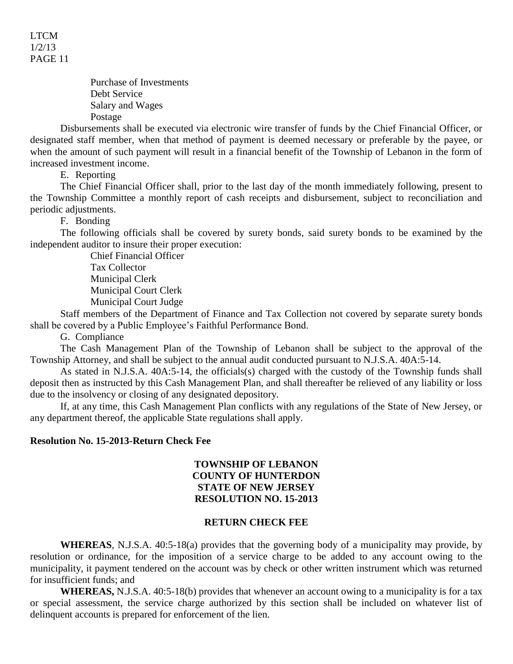> Purchase of Investments Debt Service Salary and Wages Postage

Disbursements shall be executed via electronic wire transfer of funds by the Chief Financial Officer, or designated staff member, when that method of payment is deemed necessary or preferable by the payee, or when the amount of such payment will result in a financial benefit of the Township of Lebanon in the form of increased investment income.

E. Reporting

The Chief Financial Officer shall, prior to the last day of the month immediately following, present to the Township Committee a monthly report of cash receipts and disbursement, subject to reconciliation and periodic adjustments.

F. Bonding

The following officials shall be covered by surety bonds, said surety bonds to be examined by the independent auditor to insure their proper execution:

> Chief Financial Officer Tax Collector Municipal Clerk Municipal Court Clerk Municipal Court Judge

Staff members of the Department of Finance and Tax Collection not covered by separate surety bonds shall be covered by a Public Employee's Faithful Performance Bond.

G. Compliance

The Cash Management Plan of the Township of Lebanon shall be subject to the approval of the Township Attorney, and shall be subject to the annual audit conducted pursuant to N.J.S.A. 40A:5-14.

As stated in N.J.S.A. 40A:5-14, the officials(s) charged with the custody of the Township funds shall deposit then as instructed by this Cash Management Plan, and shall thereafter be relieved of any liability or loss due to the insolvency or closing of any designated depository.

If, at any time, this Cash Management Plan conflicts with any regulations of the State of New Jersey, or any department thereof, the applicable State regulations shall apply.

#### **Resolution No. 15-2013-Return Check Fee**

### **TOWNSHIP OF LEBANON COUNTY OF HUNTERDON STATE OF NEW JERSEY RESOLUTION NO. 15-2013**

## **RETURN CHECK FEE**

**WHEREAS**, N.J.S.A. 40:5-18(a) provides that the governing body of a municipality may provide, by resolution or ordinance, for the imposition of a service charge to be added to any account owing to the municipality, it payment tendered on the account was by check or other written instrument which was returned for insufficient funds; and

**WHEREAS,** N.J.S.A. 40:5-18(b) provides that whenever an account owing to a municipality is for a tax or special assessment, the service charge authorized by this section shall be included on whatever list of delinquent accounts is prepared for enforcement of the lien.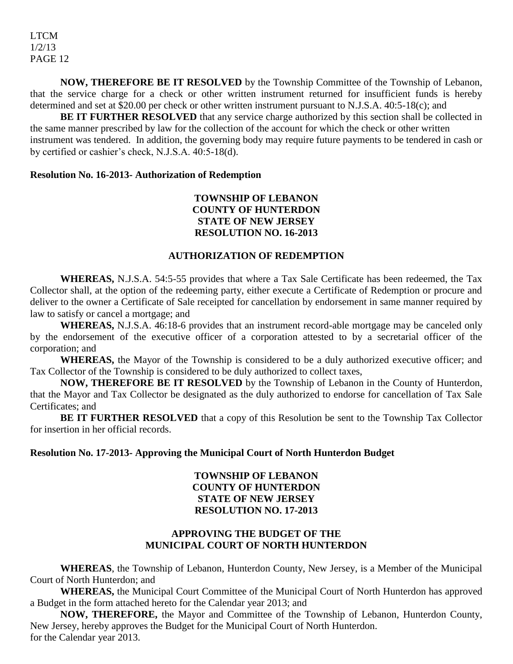**NOW, THEREFORE BE IT RESOLVED** by the Township Committee of the Township of Lebanon, that the service charge for a check or other written instrument returned for insufficient funds is hereby determined and set at \$20.00 per check or other written instrument pursuant to N.J.S.A. 40:5-18(c); and

**BE IT FURTHER RESOLVED** that any service charge authorized by this section shall be collected in the same manner prescribed by law for the collection of the account for which the check or other written instrument was tendered. In addition, the governing body may require future payments to be tendered in cash or by certified or cashier's check, N.J.S.A. 40:5-18(d).

## **Resolution No. 16-2013- Authorization of Redemption**

# **TOWNSHIP OF LEBANON COUNTY OF HUNTERDON STATE OF NEW JERSEY RESOLUTION NO. 16-2013**

### **AUTHORIZATION OF REDEMPTION**

**WHEREAS,** N.J.S.A. 54:5-55 provides that where a Tax Sale Certificate has been redeemed, the Tax Collector shall, at the option of the redeeming party, either execute a Certificate of Redemption or procure and deliver to the owner a Certificate of Sale receipted for cancellation by endorsement in same manner required by law to satisfy or cancel a mortgage; and

**WHEREAS,** N.J.S.A. 46:18-6 provides that an instrument record-able mortgage may be canceled only by the endorsement of the executive officer of a corporation attested to by a secretarial officer of the corporation; and

**WHEREAS,** the Mayor of the Township is considered to be a duly authorized executive officer; and Tax Collector of the Township is considered to be duly authorized to collect taxes,

**NOW, THEREFORE BE IT RESOLVED** by the Township of Lebanon in the County of Hunterdon, that the Mayor and Tax Collector be designated as the duly authorized to endorse for cancellation of Tax Sale Certificates; and

**BE IT FURTHER RESOLVED** that a copy of this Resolution be sent to the Township Tax Collector for insertion in her official records.

### **Resolution No. 17-2013- Approving the Municipal Court of North Hunterdon Budget**

## **TOWNSHIP OF LEBANON COUNTY OF HUNTERDON STATE OF NEW JERSEY RESOLUTION NO. 17-2013**

## **APPROVING THE BUDGET OF THE MUNICIPAL COURT OF NORTH HUNTERDON**

**WHEREAS**, the Township of Lebanon, Hunterdon County, New Jersey, is a Member of the Municipal Court of North Hunterdon; and

**WHEREAS,** the Municipal Court Committee of the Municipal Court of North Hunterdon has approved a Budget in the form attached hereto for the Calendar year 2013; and

**NOW, THEREFORE,** the Mayor and Committee of the Township of Lebanon, Hunterdon County, New Jersey, hereby approves the Budget for the Municipal Court of North Hunterdon. for the Calendar year 2013.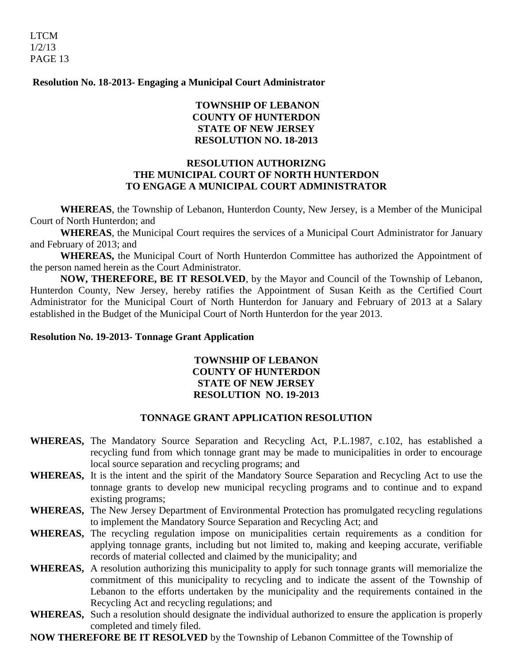**Resolution No. 18-2013- Engaging a Municipal Court Administrator**

# **TOWNSHIP OF LEBANON COUNTY OF HUNTERDON STATE OF NEW JERSEY RESOLUTION NO. 18-2013**

## **RESOLUTION AUTHORIZNG THE MUNICIPAL COURT OF NORTH HUNTERDON TO ENGAGE A MUNICIPAL COURT ADMINISTRATOR**

**WHEREAS**, the Township of Lebanon, Hunterdon County, New Jersey, is a Member of the Municipal Court of North Hunterdon; and

**WHEREAS**, the Municipal Court requires the services of a Municipal Court Administrator for January and February of 2013; and

**WHEREAS,** the Municipal Court of North Hunterdon Committee has authorized the Appointment of the person named herein as the Court Administrator.

**NOW, THEREFORE, BE IT RESOLVED**, by the Mayor and Council of the Township of Lebanon, Hunterdon County, New Jersey, hereby ratifies the Appointment of Susan Keith as the Certified Court Administrator for the Municipal Court of North Hunterdon for January and February of 2013 at a Salary established in the Budget of the Municipal Court of North Hunterdon for the year 2013.

## **Resolution No. 19-2013- Tonnage Grant Application**

# **TOWNSHIP OF LEBANON COUNTY OF HUNTERDON STATE OF NEW JERSEY RESOLUTION NO. 19-2013**

# **TONNAGE GRANT APPLICATION RESOLUTION**

- **WHEREAS,** The Mandatory Source Separation and Recycling Act, P.L.1987, c.102, has established a recycling fund from which tonnage grant may be made to municipalities in order to encourage local source separation and recycling programs; and
- **WHEREAS,** It is the intent and the spirit of the Mandatory Source Separation and Recycling Act to use the tonnage grants to develop new municipal recycling programs and to continue and to expand existing programs;
- **WHEREAS,** The New Jersey Department of Environmental Protection has promulgated recycling regulations to implement the Mandatory Source Separation and Recycling Act; and
- **WHEREAS,** The recycling regulation impose on municipalities certain requirements as a condition for applying tonnage grants, including but not limited to, making and keeping accurate, verifiable records of material collected and claimed by the municipality; and
- **WHEREAS,** A resolution authorizing this municipality to apply for such tonnage grants will memorialize the commitment of this municipality to recycling and to indicate the assent of the Township of Lebanon to the efforts undertaken by the municipality and the requirements contained in the Recycling Act and recycling regulations; and
- **WHEREAS,** Such a resolution should designate the individual authorized to ensure the application is properly completed and timely filed.

**NOW THEREFORE BE IT RESOLVED** by the Township of Lebanon Committee of the Township of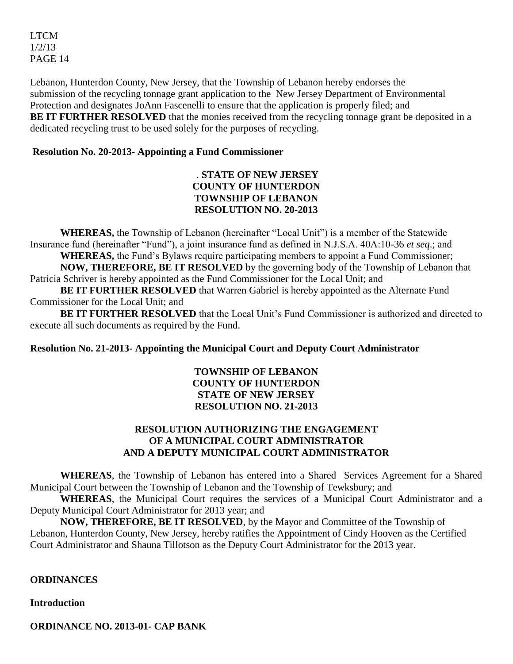Lebanon, Hunterdon County, New Jersey, that the Township of Lebanon hereby endorses the submission of the recycling tonnage grant application to the New Jersey Department of Environmental Protection and designates JoAnn Fascenelli to ensure that the application is properly filed; and **BE IT FURTHER RESOLVED** that the monies received from the recycling tonnage grant be deposited in a dedicated recycling trust to be used solely for the purposes of recycling.

# **Resolution No. 20-2013- Appointing a Fund Commissioner**

# . **STATE OF NEW JERSEY COUNTY OF HUNTERDON TOWNSHIP OF LEBANON RESOLUTION NO. 20-2013**

**WHEREAS,** the Township of Lebanon (hereinafter "Local Unit") is a member of the Statewide Insurance fund (hereinafter "Fund"), a joint insurance fund as defined in N.J.S.A. 40A:10-36 *et seq*.; and **WHEREAS,** the Fund's Bylaws require participating members to appoint a Fund Commissioner; **NOW, THEREFORE, BE IT RESOLVED** by the governing body of the Township of Lebanon that Patricia Schriver is hereby appointed as the Fund Commissioner for the Local Unit; and

**BE IT FURTHER RESOLVED** that Warren Gabriel is hereby appointed as the Alternate Fund Commissioner for the Local Unit; and

**BE IT FURTHER RESOLVED** that the Local Unit's Fund Commissioner is authorized and directed to execute all such documents as required by the Fund.

**Resolution No. 21-2013- Appointing the Municipal Court and Deputy Court Administrator**

# **TOWNSHIP OF LEBANON COUNTY OF HUNTERDON STATE OF NEW JERSEY RESOLUTION NO. 21-2013**

# **RESOLUTION AUTHORIZING THE ENGAGEMENT OF A MUNICIPAL COURT ADMINISTRATOR AND A DEPUTY MUNICIPAL COURT ADMINISTRATOR**

**WHEREAS**, the Township of Lebanon has entered into a Shared Services Agreement for a Shared Municipal Court between the Township of Lebanon and the Township of Tewksbury; and

**WHEREAS**, the Municipal Court requires the services of a Municipal Court Administrator and a Deputy Municipal Court Administrator for 2013 year; and

**NOW, THEREFORE, BE IT RESOLVED**, by the Mayor and Committee of the Township of Lebanon, Hunterdon County, New Jersey, hereby ratifies the Appointment of Cindy Hooven as the Certified Court Administrator and Shauna Tillotson as the Deputy Court Administrator for the 2013 year.

## **ORDINANCES**

**Introduction**

**ORDINANCE NO. 2013-01- CAP BANK**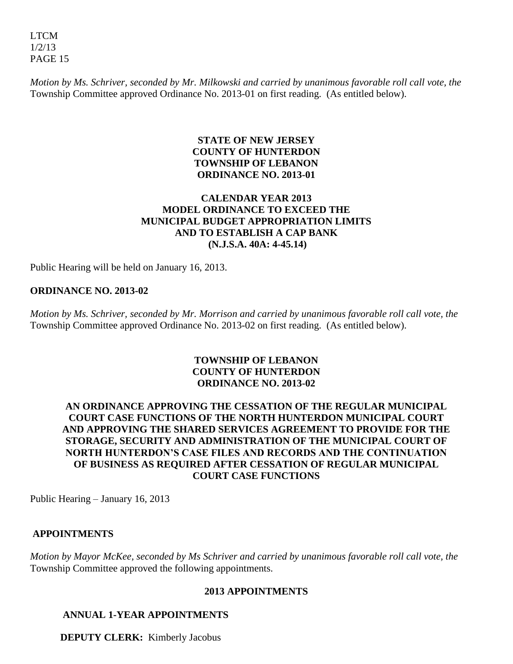*Motion by Ms. Schriver, seconded by Mr. Milkowski and carried by unanimous favorable roll call vote, the* Township Committee approved Ordinance No. 2013-01 on first reading. (As entitled below).

# **STATE OF NEW JERSEY COUNTY OF HUNTERDON TOWNSHIP OF LEBANON ORDINANCE NO. 2013-01**

# **CALENDAR YEAR 2013 MODEL ORDINANCE TO EXCEED THE MUNICIPAL BUDGET APPROPRIATION LIMITS AND TO ESTABLISH A CAP BANK (N.J.S.A. 40A: 4-45.14)**

Public Hearing will be held on January 16, 2013.

# **ORDINANCE NO. 2013-02**

*Motion by Ms. Schriver, seconded by Mr. Morrison and carried by unanimous favorable roll call vote, the* Township Committee approved Ordinance No. 2013-02 on first reading. (As entitled below).

# **TOWNSHIP OF LEBANON COUNTY OF HUNTERDON ORDINANCE NO. 2013-02**

# **AN ORDINANCE APPROVING THE CESSATION OF THE REGULAR MUNICIPAL COURT CASE FUNCTIONS OF THE NORTH HUNTERDON MUNICIPAL COURT AND APPROVING THE SHARED SERVICES AGREEMENT TO PROVIDE FOR THE STORAGE, SECURITY AND ADMINISTRATION OF THE MUNICIPAL COURT OF NORTH HUNTERDON'S CASE FILES AND RECORDS AND THE CONTINUATION OF BUSINESS AS REQUIRED AFTER CESSATION OF REGULAR MUNICIPAL COURT CASE FUNCTIONS**

Public Hearing – January 16, 2013

## **APPOINTMENTS**

*Motion by Mayor McKee, seconded by Ms Schriver and carried by unanimous favorable roll call vote, the*  Township Committee approved the following appointments.

## **2013 APPOINTMENTS**

# **ANNUAL 1-YEAR APPOINTMENTS**

**DEPUTY CLERK:** Kimberly Jacobus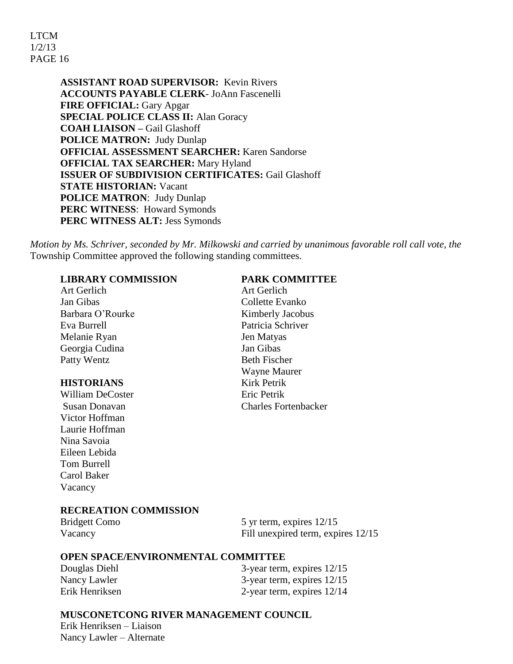**ASSISTANT ROAD SUPERVISOR:** Kevin Rivers **ACCOUNTS PAYABLE CLERK**- JoAnn Fascenelli **FIRE OFFICIAL:** Gary Apgar **SPECIAL POLICE CLASS II:** Alan Goracy **COAH LIAISON –** Gail Glashoff **POLICE MATRON:** Judy Dunlap **OFFICIAL ASSESSMENT SEARCHER:** Karen Sandorse **OFFICIAL TAX SEARCHER:** Mary Hyland **ISSUER OF SUBDIVISION CERTIFICATES:** Gail Glashoff **STATE HISTORIAN:** Vacant **POLICE MATRON**: Judy Dunlap **PERC WITNESS**: Howard Symonds **PERC WITNESS ALT:** Jess Symonds

*Motion by Ms. Schriver, seconded by Mr. Milkowski and carried by unanimous favorable roll call vote, the*  Township Committee approved the following standing committees.

## **LIBRARY COMMISSION PARK COMMITTEE**

 Art Gerlich Art Gerlich Jan Gibas Collette Evanko Barbara O'Rourke Kimberly Jacobus Eva Burrell Patricia Schriver Melanie Ryan Jen Matyas Georgia Cudina Jan Gibas Patty Wentz Beth Fischer

## **HISTORIANS** Kirk Petrik

William DeCoster **Example 2** Eric Petrik Victor Hoffman Laurie Hoffman Nina Savoia Eileen Lebida Tom Burrell Carol Baker Vacancy

 Wayne Maurer Susan Donavan Charles Fortenbacker

## **RECREATION COMMISSION**

| <b>Bridgett Como</b> | 5 yr term, expires $12/15$         |
|----------------------|------------------------------------|
| Vacancy              | Fill unexpired term, expires 12/15 |

#### **OPEN SPACE/ENVIRONMENTAL COMMITTEE**

Douglas Diehl 3-year term, expires 12/15 Nancy Lawler 3-year term, expires  $12/15$ Erik Henriksen 2-year term, expires 12/14

## **MUSCONETCONG RIVER MANAGEMENT COUNCIL**

Erik Henriksen – Liaison Nancy Lawler – Alternate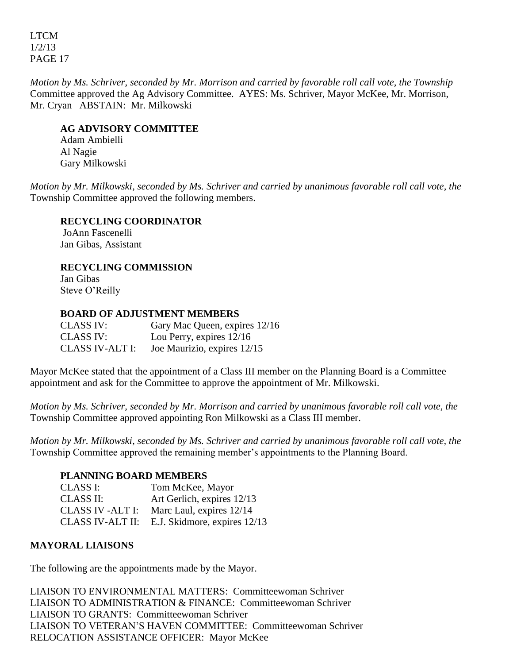*Motion by Ms. Schriver, seconded by Mr. Morrison and carried by favorable roll call vote, the Township*  Committee approved the Ag Advisory Committee. AYES: Ms. Schriver, Mayor McKee, Mr. Morrison, Mr. Cryan ABSTAIN: Mr. Milkowski

## **AG ADVISORY COMMITTEE**

Adam Ambielli Al Nagie Gary Milkowski

*Motion by Mr. Milkowski, seconded by Ms. Schriver and carried by unanimous favorable roll call vote, the*  Township Committee approved the following members.

# **RECYCLING COORDINATOR**

JoAnn Fascenelli Jan Gibas, Assistant

# **RECYCLING COMMISSION**

Jan Gibas Steve O'Reilly

# **BOARD OF ADJUSTMENT MEMBERS**

CLASS IV: Gary Mac Queen, expires 12/16 CLASS IV: Lou Perry, expires 12/16 CLASS IV-ALT I: Joe Maurizio, expires 12/15

Mayor McKee stated that the appointment of a Class III member on the Planning Board is a Committee appointment and ask for the Committee to approve the appointment of Mr. Milkowski.

*Motion by Ms. Schriver, seconded by Mr. Morrison and carried by unanimous favorable roll call vote, the*  Township Committee approved appointing Ron Milkowski as a Class III member.

*Motion by Mr. Milkowski, seconded by Ms. Schriver and carried by unanimous favorable roll call vote, the*  Township Committee approved the remaining member's appointments to the Planning Board.

## **PLANNING BOARD MEMBERS**

| CLASS I:         | Tom McKee, Mayor             |
|------------------|------------------------------|
| <b>CLASS II:</b> | Art Gerlich, expires 12/13   |
| CLASS IV -ALT I: | Marc Laul, expires 12/14     |
| CLASS IV-ALT II: | E.J. Skidmore, expires 12/13 |

# **MAYORAL LIAISONS**

The following are the appointments made by the Mayor.

LIAISON TO ENVIRONMENTAL MATTERS: Committeewoman Schriver LIAISON TO ADMINISTRATION & FINANCE: Committeewoman Schriver LIAISON TO GRANTS: Committeewoman Schriver LIAISON TO VETERAN'S HAVEN COMMITTEE: Committeewoman Schriver RELOCATION ASSISTANCE OFFICER: Mayor McKee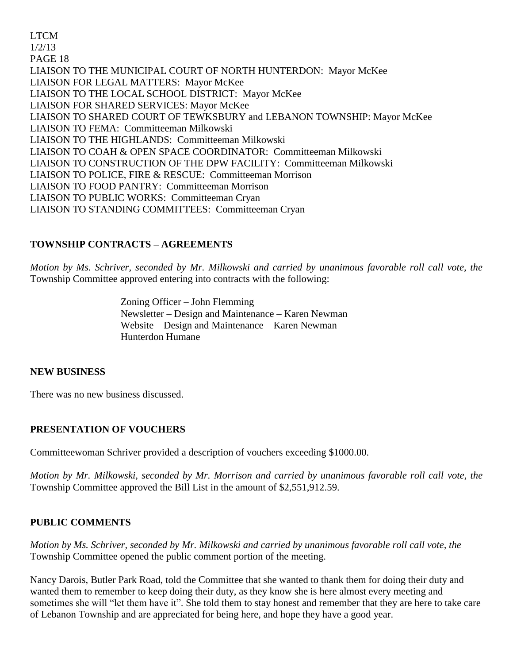LTCM 1/2/13 PAGE 18 LIAISON TO THE MUNICIPAL COURT OF NORTH HUNTERDON: Mayor McKee LIAISON FOR LEGAL MATTERS: Mayor McKee LIAISON TO THE LOCAL SCHOOL DISTRICT: Mayor McKee LIAISON FOR SHARED SERVICES: Mayor McKee LIAISON TO SHARED COURT OF TEWKSBURY and LEBANON TOWNSHIP: Mayor McKee LIAISON TO FEMA: Committeeman Milkowski LIAISON TO THE HIGHLANDS: Committeeman Milkowski LIAISON TO COAH & OPEN SPACE COORDINATOR: Committeeman Milkowski LIAISON TO CONSTRUCTION OF THE DPW FACILITY: Committeeman Milkowski LIAISON TO POLICE, FIRE & RESCUE: Committeeman Morrison LIAISON TO FOOD PANTRY: Committeeman Morrison LIAISON TO PUBLIC WORKS: Committeeman Cryan LIAISON TO STANDING COMMITTEES: Committeeman Cryan

# **TOWNSHIP CONTRACTS – AGREEMENTS**

*Motion by Ms. Schriver, seconded by Mr. Milkowski and carried by unanimous favorable roll call vote, the* Township Committee approved entering into contracts with the following:

> Zoning Officer – John Flemming Newsletter – Design and Maintenance – Karen Newman Website – Design and Maintenance – Karen Newman Hunterdon Humane

# **NEW BUSINESS**

There was no new business discussed.

# **PRESENTATION OF VOUCHERS**

Committeewoman Schriver provided a description of vouchers exceeding \$1000.00.

*Motion by Mr. Milkowski, seconded by Mr. Morrison and carried by unanimous favorable roll call vote, the* Township Committee approved the Bill List in the amount of \$2,551,912.59.

# **PUBLIC COMMENTS**

*Motion by Ms. Schriver, seconded by Mr. Milkowski and carried by unanimous favorable roll call vote, the* Township Committee opened the public comment portion of the meeting.

Nancy Darois, Butler Park Road, told the Committee that she wanted to thank them for doing their duty and wanted them to remember to keep doing their duty, as they know she is here almost every meeting and sometimes she will "let them have it". She told them to stay honest and remember that they are here to take care of Lebanon Township and are appreciated for being here, and hope they have a good year.